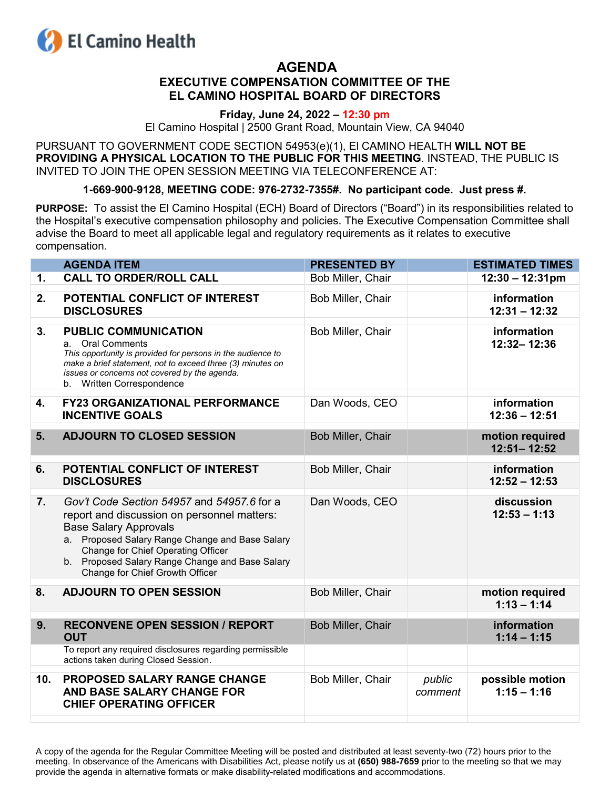

## **AGENDA EXECUTIVE COMPENSATION COMMITTEE OF THE EL CAMINO HOSPITAL BOARD OF DIRECTORS**

## **Friday, June 24, 2022 – 12:30 pm**

El Camino Hospital | 2500 Grant Road, Mountain View, CA 94040

PURSUANT TO GOVERNMENT CODE SECTION 54953(e)(1), El CAMINO HEALTH **WILL NOT BE PROVIDING A PHYSICAL LOCATION TO THE PUBLIC FOR THIS MEETING**. INSTEAD, THE PUBLIC IS INVITED TO JOIN THE OPEN SESSION MEETING VIA TELECONFERENCE AT:

## **1-669-900-9128, MEETING CODE: 976-2732-7355#. No participant code. Just press #.**

**PURPOSE:** To assist the El Camino Hospital (ECH) Board of Directors ("Board") in its responsibilities related to the Hospital's executive compensation philosophy and policies. The Executive Compensation Committee shall advise the Board to meet all applicable legal and regulatory requirements as it relates to executive compensation.

|                | <b>AGENDA ITEM</b>                                                                                                                                                                                                                                                                                       | <b>PRESENTED BY</b> |                   | <b>ESTIMATED TIMES</b>             |
|----------------|----------------------------------------------------------------------------------------------------------------------------------------------------------------------------------------------------------------------------------------------------------------------------------------------------------|---------------------|-------------------|------------------------------------|
| 1.             | <b>CALL TO ORDER/ROLL CALL</b>                                                                                                                                                                                                                                                                           | Bob Miller, Chair   |                   | $12:30 - 12:31 \text{pm}$          |
| 2.             | POTENTIAL CONFLICT OF INTEREST<br><b>DISCLOSURES</b>                                                                                                                                                                                                                                                     | Bob Miller, Chair   |                   | information<br>$12:31 - 12:32$     |
| 3.             | <b>PUBLIC COMMUNICATION</b><br><b>Oral Comments</b><br>а.<br>This opportunity is provided for persons in the audience to<br>make a brief statement, not to exceed three (3) minutes on<br>issues or concerns not covered by the agenda.<br>b. Written Correspondence                                     | Bob Miller, Chair   |                   | information<br>12:32-12:36         |
| 4.             | <b>FY23 ORGANIZATIONAL PERFORMANCE</b><br><b>INCENTIVE GOALS</b>                                                                                                                                                                                                                                         | Dan Woods, CEO      |                   | information<br>$12:36 - 12:51$     |
| 5.             | <b>ADJOURN TO CLOSED SESSION</b>                                                                                                                                                                                                                                                                         | Bob Miller, Chair   |                   | motion required<br>$12:51 - 12:52$ |
| 6.             | POTENTIAL CONFLICT OF INTEREST<br><b>DISCLOSURES</b>                                                                                                                                                                                                                                                     | Bob Miller, Chair   |                   | information<br>$12:52 - 12:53$     |
| 7.             | Gov't Code Section 54957 and 54957.6 for a<br>report and discussion on personnel matters:<br><b>Base Salary Approvals</b><br>a. Proposed Salary Range Change and Base Salary<br>Change for Chief Operating Officer<br>b. Proposed Salary Range Change and Base Salary<br>Change for Chief Growth Officer | Dan Woods, CEO      |                   | discussion<br>$12:53 - 1:13$       |
| 8.             | <b>ADJOURN TO OPEN SESSION</b>                                                                                                                                                                                                                                                                           | Bob Miller, Chair   |                   | motion required<br>$1:13 - 1:14$   |
| 9 <sub>1</sub> | <b>RECONVENE OPEN SESSION / REPORT</b><br><b>OUT</b>                                                                                                                                                                                                                                                     | Bob Miller, Chair   |                   | information<br>$1:14 - 1:15$       |
|                | To report any required disclosures regarding permissible<br>actions taken during Closed Session.                                                                                                                                                                                                         |                     |                   |                                    |
| 10.            | PROPOSED SALARY RANGE CHANGE<br>AND BASE SALARY CHANGE FOR<br><b>CHIEF OPERATING OFFICER</b>                                                                                                                                                                                                             | Bob Miller, Chair   | public<br>comment | possible motion<br>$1:15 - 1:16$   |
|                |                                                                                                                                                                                                                                                                                                          |                     |                   |                                    |

A copy of the agenda for the Regular Committee Meeting will be posted and distributed at least seventy-two (72) hours prior to the meeting. In observance of the Americans with Disabilities Act, please notify us at **(650) 988-7659** prior to the meeting so that we may provide the agenda in alternative formats or make disability-related modifications and accommodations.